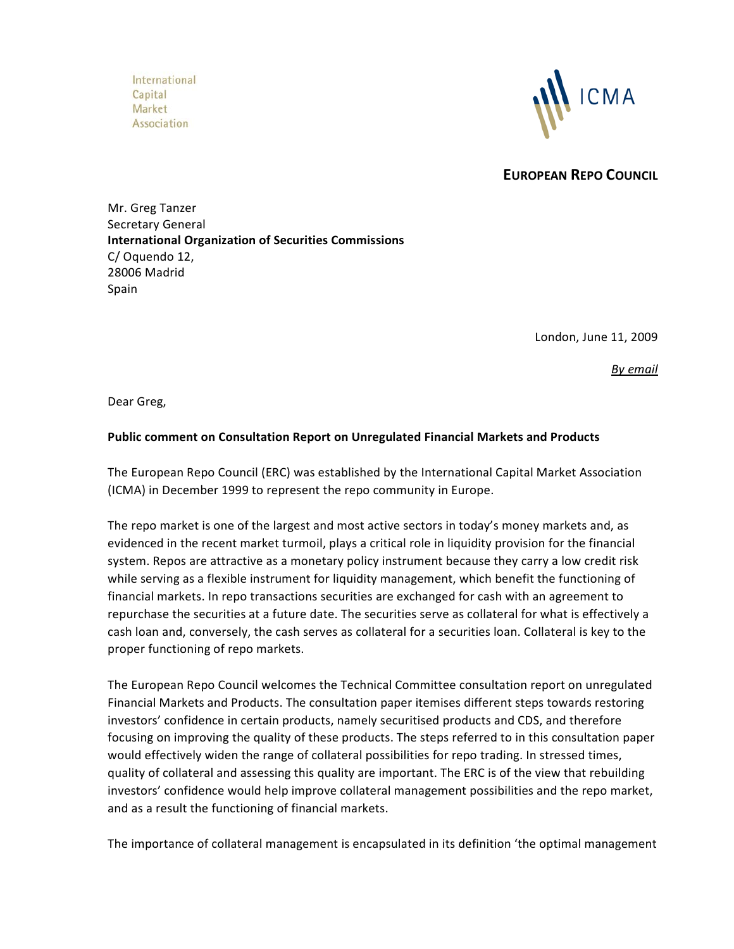International Capital Market Association



**EUROPEAN REPO COUNCIL**

Mr. Greg Tanzer Secretary General **International Organization of Securities Commissions** C/ Oquendo 12, 28006 Madrid Spain

London, June 11, 2009

*By email*

Dear Greg,

## **Public comment on Consultation Report on Unregulated Financial Markets and Products**

The European Repo Council (ERC) was established by the International Capital Market Association (ICMA) in December 1999 to represent the repo community in Europe.

The repo market is one of the largest and most active sectors in today's money markets and, as evidenced in the recent market turmoil, plays a critical role in liquidity provision for the financial system. Repos are attractive as a monetary policy instrument because they carry a low credit risk while serving as a flexible instrument for liquidity management, which benefit the functioning of financial markets. In repo transactions securities are exchanged for cash with an agreement to repurchase the securities at a future date. The securities serve as collateral for what is effectively a cash loan and, conversely, the cash serves as collateral for a securities loan. Collateral is key to the proper functioning of repo markets.

The European Repo Council welcomes the Technical Committee consultation report on unregulated Financial Markets and Products. The consultation paper itemises different steps towards restoring investors' confidence in certain products, namely securitised products and CDS, and therefore focusing on improving the quality of these products. The steps referred to in this consultation paper would effectively widen the range of collateral possibilities for repo trading. In stressed times, quality of collateral and assessing this quality are important. The ERC is of the view that rebuilding investors' confidence would help improve collateral management possibilities and the repo market, and as a result the functioning of financial markets.

The importance of collateral management is encapsulated in its definition 'the optimal management